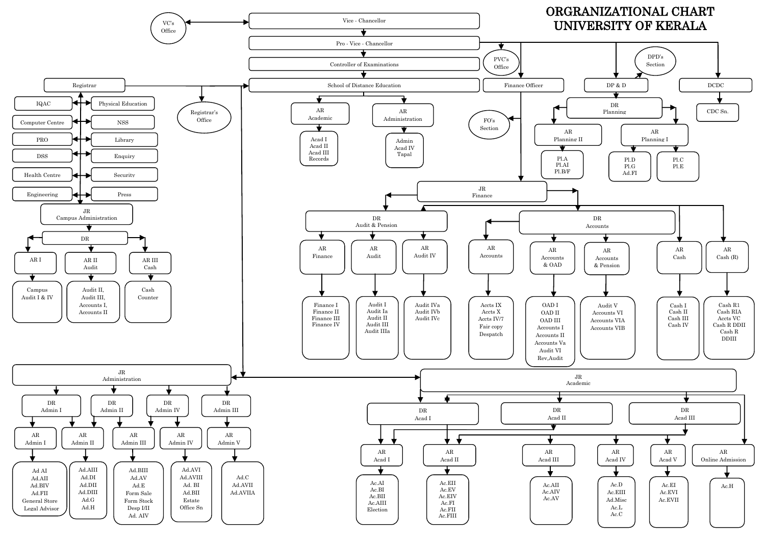